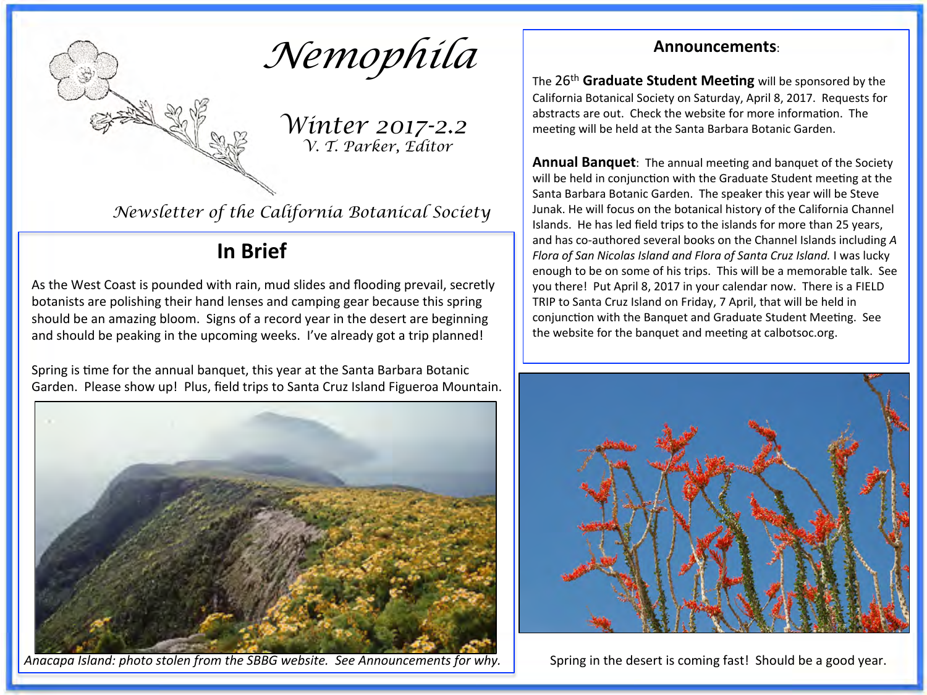

*Winter 2017-2.2 V. T. Parker, Editor* 

*Newsletter of the California Botanical Society* 

### **In Brief**

As the West Coast is pounded with rain, mud slides and flooding prevail, secretly botanists are polishing their hand lenses and camping gear because this spring should be an amazing bloom. Signs of a record year in the desert are beginning and should be peaking in the upcoming weeks. I've already got a trip planned!

Spring is time for the annual banquet, this year at the Santa Barbara Botanic Garden. Please show up! Plus, field trips to Santa Cruz Island Figueroa Mountain.



*Anacapa Island:* photo stolen from the SBBG website. See Announcements for why. Spring in the desert is coming fast! Should be a good year.

#### **Announcements:**

The 26<sup>th</sup> Graduate Student Meeting will be sponsored by the California Botanical Society on Saturday, April 8, 2017. Requests for abstracts are out. Check the website for more information. The meeting will be held at the Santa Barbara Botanic Garden.

**Annual Banquet:** The annual meeting and banquet of the Society will be held in conjunction with the Graduate Student meeting at the Santa Barbara Botanic Garden. The speaker this year will be Steve Junak. He will focus on the botanical history of the California Channel Islands. He has led field trips to the islands for more than 25 years, and has co-authored several books on the Channel Islands including A *Flora of San Nicolas Island and Flora of Santa Cruz Island.* I was lucky enough to be on some of his trips. This will be a memorable talk. See you there! Put April 8, 2017 in your calendar now. There is a FIELD TRIP to Santa Cruz Island on Friday, 7 April, that will be held in conjunction with the Banquet and Graduate Student Meeting. See the website for the banquet and meeting at calbotsoc.org.

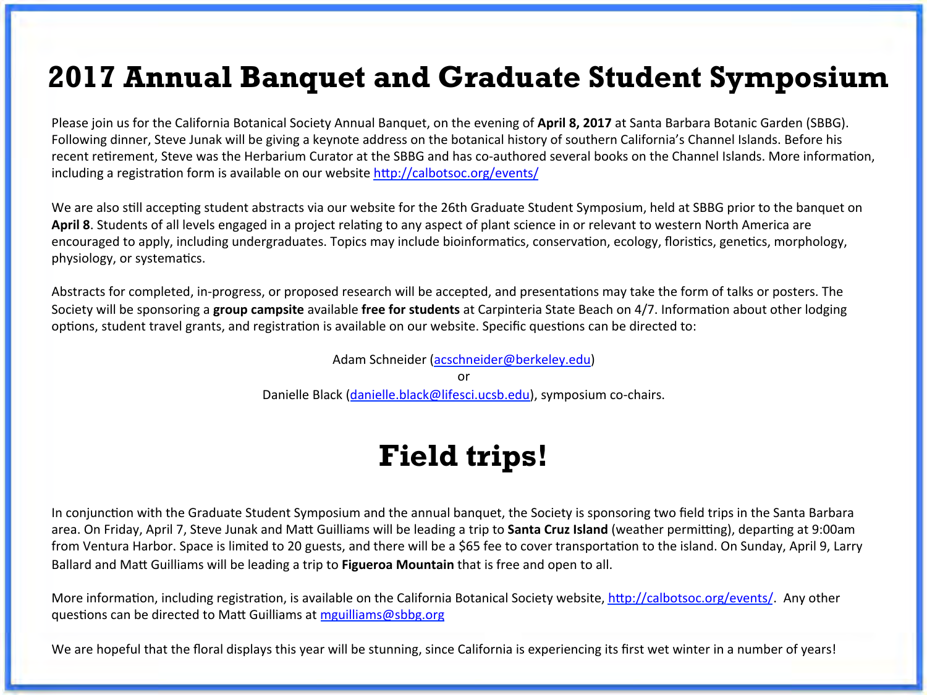## **2017 Annual Banquet and Graduate Student Symposium**

Please join us for the California Botanical Society Annual Banquet, on the evening of April 8, 2017 at Santa Barbara Botanic Garden (SBBG). Following dinner, Steve Junak will be giving a keynote address on the botanical history of southern California's Channel Islands. Before his recent retirement, Steve was the Herbarium Curator at the SBBG and has co-authored several books on the Channel Islands. More information, including a registration form is available on our website  $\frac{http://calbots.org/events/$ 

We are also still accepting student abstracts via our website for the 26th Graduate Student Symposium, held at SBBG prior to the banquet on April 8. Students of all levels engaged in a project relating to any aspect of plant science in or relevant to western North America are encouraged to apply, including undergraduates. Topics may include bioinformatics, conservation, ecology, floristics, genetics, morphology, physiology, or systematics.

Abstracts for completed, in-progress, or proposed research will be accepted, and presentations may take the form of talks or posters. The Society will be sponsoring a **group campsite** available free for students at Carpinteria State Beach on 4/7. Information about other lodging options, student travel grants, and registration is available on our website. Specific questions can be directed to:

Adam Schneider (acschneider@berkeley.edu)

or 

Danielle Black (danielle.black@lifesci.ucsb.edu), symposium co-chairs.

# **Field trips!**

In conjunction with the Graduate Student Symposium and the annual banquet, the Society is sponsoring two field trips in the Santa Barbara area. On Friday, April 7, Steve Junak and Matt Guilliams will be leading a trip to **Santa Cruz Island** (weather permitting), departing at 9:00am from Ventura Harbor. Space is limited to 20 guests, and there will be a \$65 fee to cover transportation to the island. On Sunday, April 9, Larry Ballard and Matt Guilliams will be leading a trip to **Figueroa Mountain** that is free and open to all.

More information, including registration, is available on the California Botanical Society website, http://calbotsoc.org/events/. Any other questions can be directed to Matt Guilliams at mguilliams@sbbg.org

We are hopeful that the floral displays this year will be stunning, since California is experiencing its first wet winter in a number of years!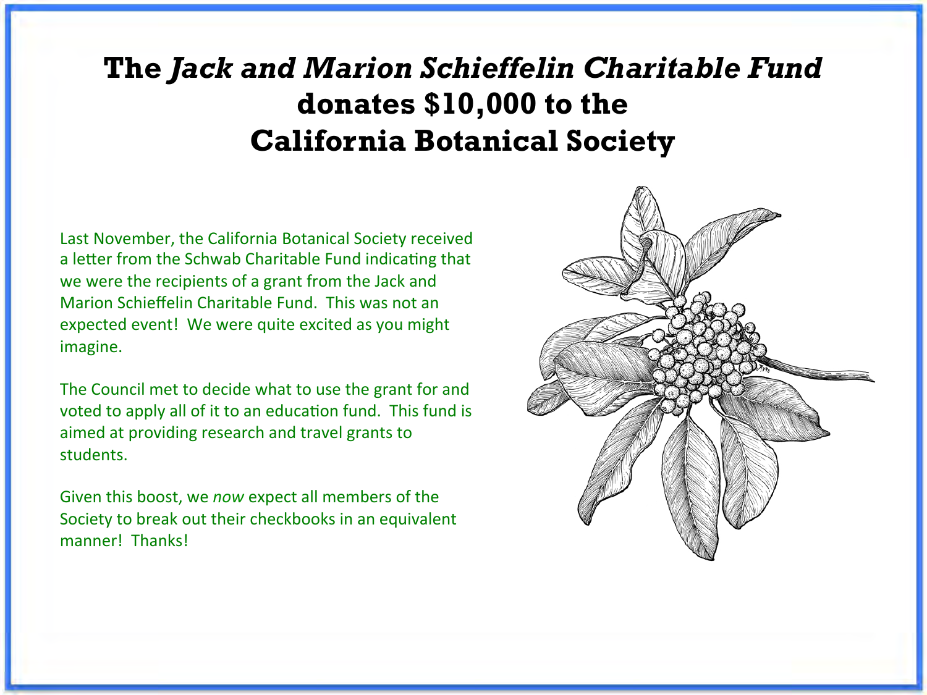# **The** *Jack and Marion Schieffelin Charitable Fund*  **donates \$10,000 to the California Botanical Society**

Last November, the California Botanical Society received a letter from the Schwab Charitable Fund indicating that we were the recipients of a grant from the Jack and Marion Schieffelin Charitable Fund. This was not an expected event! We were quite excited as you might imagine. 

The Council met to decide what to use the grant for and voted to apply all of it to an education fund. This fund is aimed at providing research and travel grants to students. 

Given this boost, we *now* expect all members of the Society to break out their checkbooks in an equivalent manner! Thanks!

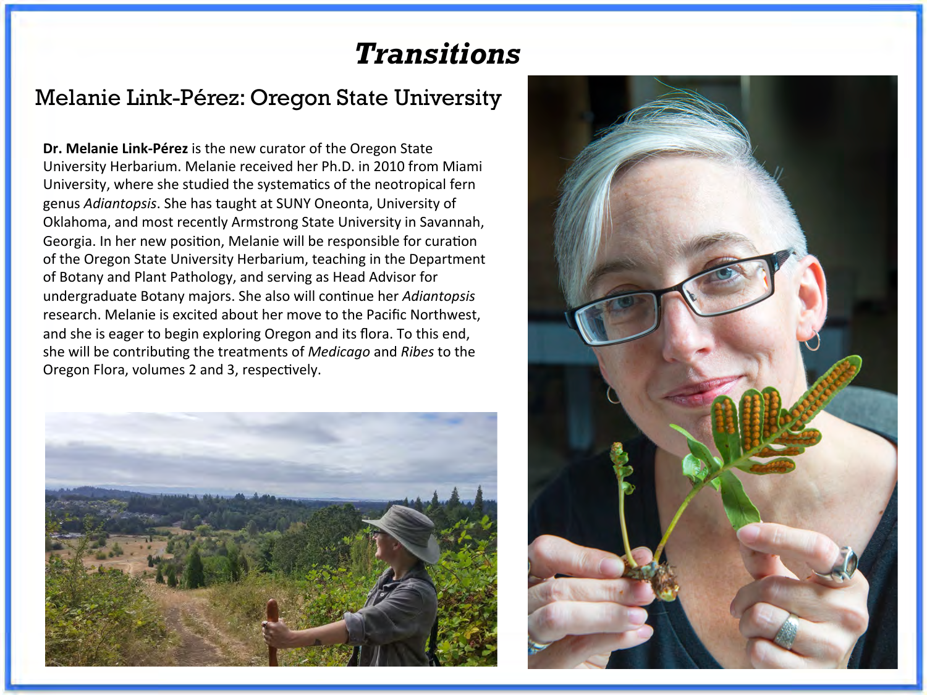# *Transitions*

### Melanie Link-Pérez: Oregon State University

**Dr. Melanie Link-Pérez** is the new curator of the Oregon State University Herbarium. Melanie received her Ph.D. in 2010 from Miami University, where she studied the systematics of the neotropical fern genus *Adiantopsis*. She has taught at SUNY Oneonta, University of Oklahoma, and most recently Armstrong State University in Savannah, Georgia. In her new position, Melanie will be responsible for curation of the Oregon State University Herbarium, teaching in the Department of Botany and Plant Pathology, and serving as Head Advisor for undergraduate Botany majors. She also will continue her *Adiantopsis* research. Melanie is excited about her move to the Pacific Northwest. and she is eager to begin exploring Oregon and its flora. To this end, she will be contributing the treatments of *Medicago* and *Ribes* to the Oregon Flora, volumes 2 and 3, respectively.



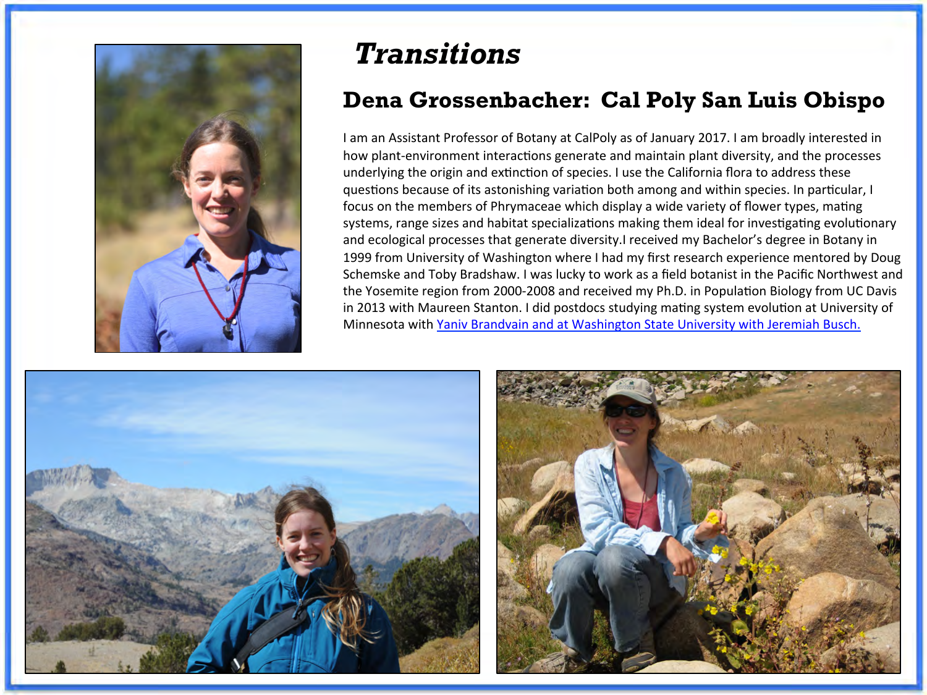

## *Transitions*

### **Dena Grossenbacher: Cal Poly San Luis Obispo**

I am an Assistant Professor of Botany at CalPoly as of January 2017. I am broadly interested in how plant-environment interactions generate and maintain plant diversity, and the processes underlying the origin and extinction of species. I use the California flora to address these questions because of its astonishing variation both among and within species. In particular, I focus on the members of Phrymaceae which display a wide variety of flower types, mating systems, range sizes and habitat specializations making them ideal for investigating evolutionary and ecological processes that generate diversity.I received my Bachelor's degree in Botany in 1999 from University of Washington where I had my first research experience mentored by Doug Schemske and Toby Bradshaw. I was lucky to work as a field botanist in the Pacific Northwest and the Yosemite region from 2000-2008 and received my Ph.D. in Population Biology from UC Davis in 2013 with Maureen Stanton. I did postdocs studying mating system evolution at University of Minnesota with Yaniv Brandvain and at Washington State University with Jeremiah Busch.



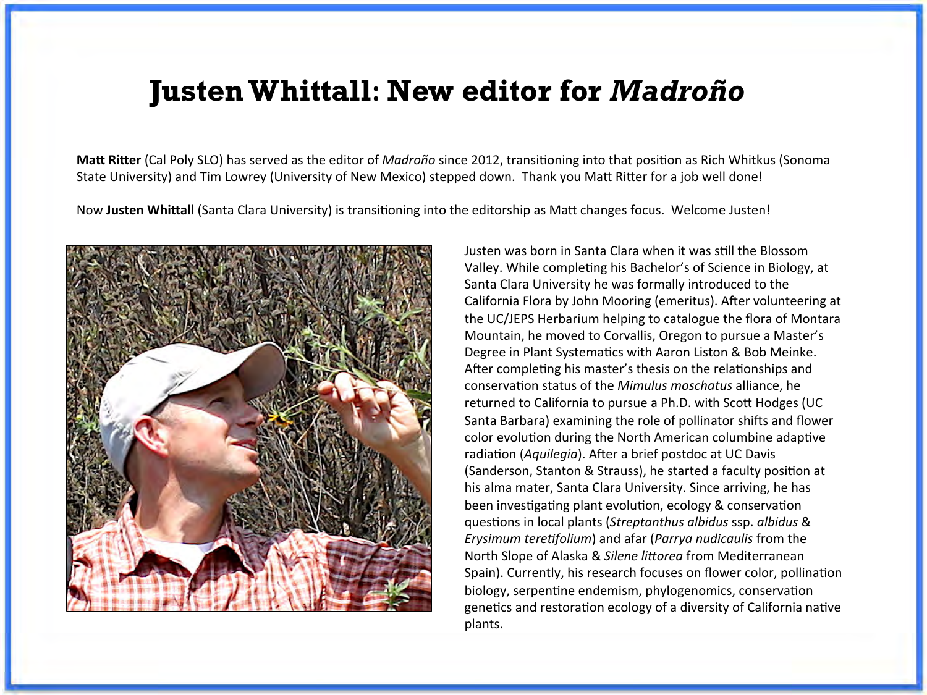## **JustenWhittall: New editor for** *Madroño*

**Matt Ritter** (Cal Poly SLO) has served as the editor of *Madroño* since 2012, transitioning into that position as Rich Whitkus (Sonoma State University) and Tim Lowrey (University of New Mexico) stepped down. Thank you Matt Ritter for a job well done!

Now Justen Whittall (Santa Clara University) is transitioning into the editorship as Matt changes focus. Welcome Justen!



Justen was born in Santa Clara when it was still the Blossom Valley. While completing his Bachelor's of Science in Biology, at Santa Clara University he was formally introduced to the California Flora by John Mooring (emeritus). After volunteering at the UC/JEPS Herbarium helping to catalogue the flora of Montara Mountain, he moved to Corvallis, Oregon to pursue a Master's Degree in Plant Systematics with Aaron Liston & Bob Meinke. After completing his master's thesis on the relationships and conservation status of the *Mimulus moschatus* alliance, he returned to California to pursue a Ph.D. with Scott Hodges (UC Santa Barbara) examining the role of pollinator shifts and flower color evolution during the North American columbine adaptive radiation (*Aquilegia*). After a brief postdoc at UC Davis (Sanderson, Stanton & Strauss), he started a faculty position at his alma mater, Santa Clara University. Since arriving, he has been investigating plant evolution, ecology & conservation guestions in local plants (Streptanthus albidus ssp. albidus & *Erysimum teretifolium*) and afar (*Parrya nudicaulis* from the North Slope of Alaska & *Silene littorea* from Mediterranean Spain). Currently, his research focuses on flower color, pollination biology, serpentine endemism, phylogenomics, conservation genetics and restoration ecology of a diversity of California native plants.